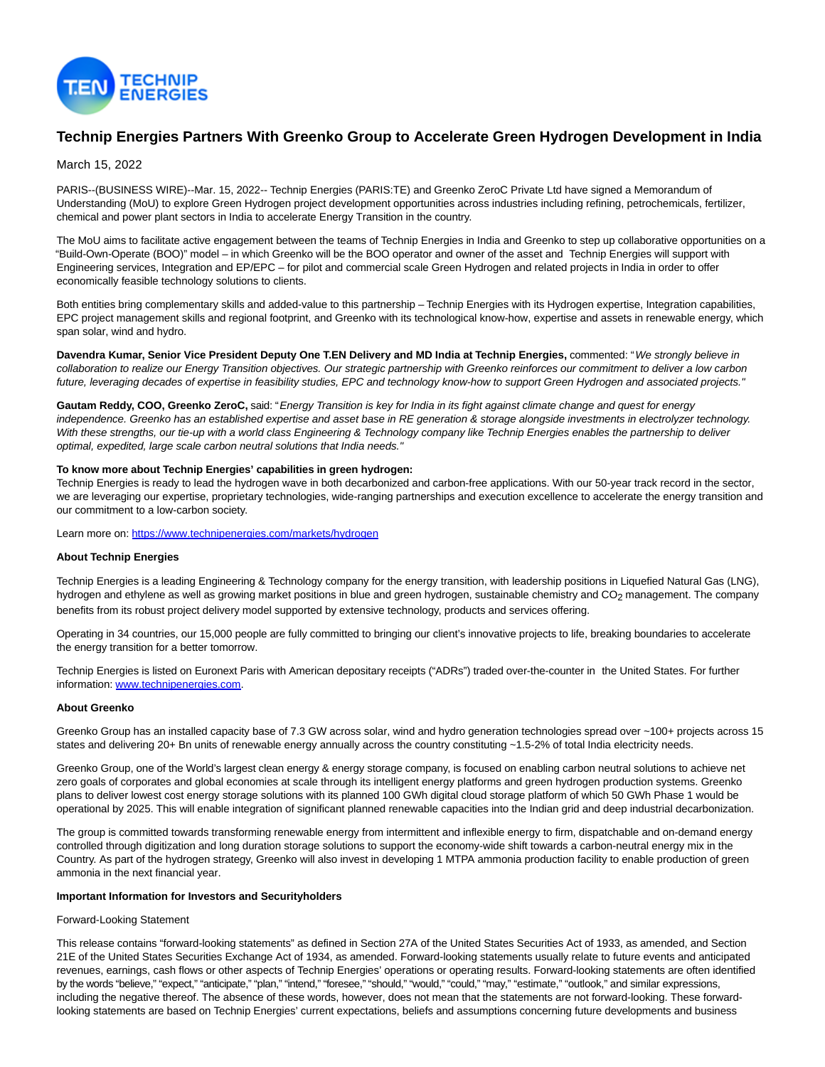

# **Technip Energies Partners With Greenko Group to Accelerate Green Hydrogen Development in India**

# March 15, 2022

PARIS--(BUSINESS WIRE)--Mar. 15, 2022-- Technip Energies (PARIS:TE) and Greenko ZeroC Private Ltd have signed a Memorandum of Understanding (MoU) to explore Green Hydrogen project development opportunities across industries including refining, petrochemicals, fertilizer, chemical and power plant sectors in India to accelerate Energy Transition in the country.

The MoU aims to facilitate active engagement between the teams of Technip Energies in India and Greenko to step up collaborative opportunities on a "Build-Own-Operate (BOO)" model – in which Greenko will be the BOO operator and owner of the asset and Technip Energies will support with Engineering services, Integration and EP/EPC – for pilot and commercial scale Green Hydrogen and related projects in India in order to offer economically feasible technology solutions to clients.

Both entities bring complementary skills and added-value to this partnership – Technip Energies with its Hydrogen expertise, Integration capabilities, EPC project management skills and regional footprint, and Greenko with its technological know-how, expertise and assets in renewable energy, which span solar, wind and hydro.

**Davendra Kumar, Senior Vice President Deputy One T.EN Delivery and MD India at Technip Energies,** commented: "We strongly believe in collaboration to realize our Energy Transition objectives. Our strategic partnership with Greenko reinforces our commitment to deliver a low carbon future, leveraging decades of expertise in feasibility studies, EPC and technology know-how to support Green Hydrogen and associated projects."

Gautam Reddy, COO, Greenko ZeroC, said: "Energy Transition is key for India in its fight against climate change and quest for energy independence. Greenko has an established expertise and asset base in RE generation & storage alongside investments in electrolyzer technology. With these strengths, our tie-up with a world class Engineering & Technology company like Technip Energies enables the partnership to deliver optimal, expedited, large scale carbon neutral solutions that India needs."

### **To know more about Technip Energies' capabilities in green hydrogen:**

Technip Energies is ready to lead the hydrogen wave in both decarbonized and carbon-free applications. With our 50-year track record in the sector, we are leveraging our expertise, proprietary technologies, wide-ranging partnerships and execution excellence to accelerate the energy transition and our commitment to a low-carbon society.

Learn more on: [https://www.technipenergies.com/markets/hydrogen](https://cts.businesswire.com/ct/CT?id=smartlink&url=https%3A%2F%2Fwww.technipenergies.com%2Fmarkets%2Fhydrogen&esheet=52596378&newsitemid=20220314005875&lan=en-US&anchor=https%3A%2F%2Fwww.technipenergies.com%2Fmarkets%2Fhydrogen&index=1&md5=0668048a93153b1b607aaa2fd4b03f2c)

#### **About Technip Energies**

Technip Energies is a leading Engineering & Technology company for the energy transition, with leadership positions in Liquefied Natural Gas (LNG), hydrogen and ethylene as well as growing market positions in blue and green hydrogen, sustainable chemistry and CO<sub>2</sub> management. The company benefits from its robust project delivery model supported by extensive technology, products and services offering.

Operating in 34 countries, our 15,000 people are fully committed to bringing our client's innovative projects to life, breaking boundaries to accelerate the energy transition for a better tomorrow.

Technip Energies is listed on Euronext Paris with American depositary receipts ("ADRs") traded over-the-counter in the United States. For further information: [www.technipenergies.com.](https://cts.businesswire.com/ct/CT?id=smartlink&url=http%3A%2F%2Fwww.technipenergies.com&esheet=52596378&newsitemid=20220314005875&lan=en-US&anchor=www.technipenergies.com&index=2&md5=75e9259f59a69ce7436f417900e82355)

# **About Greenko**

Greenko Group has an installed capacity base of 7.3 GW across solar, wind and hydro generation technologies spread over ~100+ projects across 15 states and delivering 20+ Bn units of renewable energy annually across the country constituting ~1.5-2% of total India electricity needs.

Greenko Group, one of the World's largest clean energy & energy storage company, is focused on enabling carbon neutral solutions to achieve net zero goals of corporates and global economies at scale through its intelligent energy platforms and green hydrogen production systems. Greenko plans to deliver lowest cost energy storage solutions with its planned 100 GWh digital cloud storage platform of which 50 GWh Phase 1 would be operational by 2025. This will enable integration of significant planned renewable capacities into the Indian grid and deep industrial decarbonization.

The group is committed towards transforming renewable energy from intermittent and inflexible energy to firm, dispatchable and on-demand energy controlled through digitization and long duration storage solutions to support the economy-wide shift towards a carbon-neutral energy mix in the Country. As part of the hydrogen strategy, Greenko will also invest in developing 1 MTPA ammonia production facility to enable production of green ammonia in the next financial year.

## **Important Information for Investors and Securityholders**

#### Forward-Looking Statement

This release contains "forward-looking statements" as defined in Section 27A of the United States Securities Act of 1933, as amended, and Section 21E of the United States Securities Exchange Act of 1934, as amended. Forward-looking statements usually relate to future events and anticipated revenues, earnings, cash flows or other aspects of Technip Energies' operations or operating results. Forward-looking statements are often identified by the words "believe," "expect," "anticipate," "plan," "intend," "foresee," "should," "would," "could," "may," "estimate," "outlook," and similar expressions, including the negative thereof. The absence of these words, however, does not mean that the statements are not forward-looking. These forwardlooking statements are based on Technip Energies' current expectations, beliefs and assumptions concerning future developments and business